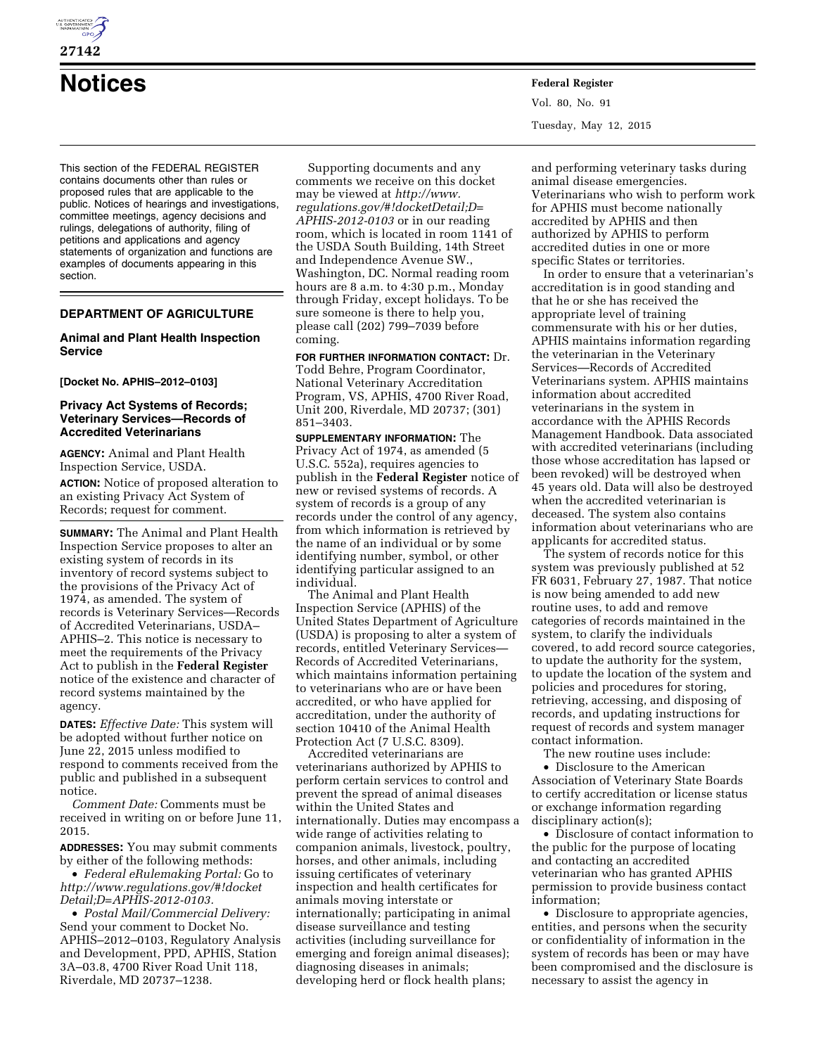

# **Notices Federal Register**

This section of the FEDERAL REGISTER contains documents other than rules or proposed rules that are applicable to the public. Notices of hearings and investigations, committee meetings, agency decisions and rulings, delegations of authority, filing of petitions and applications and agency statements of organization and functions are examples of documents appearing in this section.

# **DEPARTMENT OF AGRICULTURE**

## **Animal and Plant Health Inspection Service**

## **[Docket No. APHIS–2012–0103]**

## **Privacy Act Systems of Records; Veterinary Services—Records of Accredited Veterinarians**

**AGENCY:** Animal and Plant Health Inspection Service, USDA. **ACTION:** Notice of proposed alteration to an existing Privacy Act System of Records; request for comment.

**SUMMARY:** The Animal and Plant Health Inspection Service proposes to alter an existing system of records in its inventory of record systems subject to the provisions of the Privacy Act of 1974, as amended. The system of records is Veterinary Services—Records of Accredited Veterinarians, USDA– APHIS–2. This notice is necessary to meet the requirements of the Privacy Act to publish in the **Federal Register**  notice of the existence and character of record systems maintained by the agency.

**DATES:** *Effective Date:* This system will be adopted without further notice on June 22, 2015 unless modified to respond to comments received from the public and published in a subsequent notice.

*Comment Date:* Comments must be received in writing on or before June 11, 2015.

**ADDRESSES:** You may submit comments by either of the following methods:

• *Federal eRulemaking Portal:* Go to *[http://www.regulations.gov/#!docket](http://www.regulations.gov/#!docketDetail;D=APHIS-2012-0103) [Detail;D=APHIS-2012-0103.](http://www.regulations.gov/#!docketDetail;D=APHIS-2012-0103)* 

• *Postal Mail/Commercial Delivery:*  Send your comment to Docket No. APHIS–2012–0103, Regulatory Analysis and Development, PPD, APHIS, Station 3A–03.8, 4700 River Road Unit 118, Riverdale, MD 20737–1238.

Supporting documents and any comments we receive on this docket may be viewed at *[http://www.](http://www.regulations.gov/#!docketDetail;D=APHIS-2012-0103) [regulations.gov/#!docketDetail;D=](http://www.regulations.gov/#!docketDetail;D=APHIS-2012-0103) [APHIS-2012-0103](http://www.regulations.gov/#!docketDetail;D=APHIS-2012-0103)* or in our reading room, which is located in room 1141 of the USDA South Building, 14th Street and Independence Avenue SW., Washington, DC. Normal reading room hours are 8 a.m. to 4:30 p.m., Monday through Friday, except holidays. To be sure someone is there to help you, please call (202) 799–7039 before coming.

**FOR FURTHER INFORMATION CONTACT:** Dr. Todd Behre, Program Coordinator, National Veterinary Accreditation Program, VS, APHIS, 4700 River Road, Unit 200, Riverdale, MD 20737; (301) 851–3403.

**SUPPLEMENTARY INFORMATION:** The Privacy Act of 1974, as amended (5 U.S.C. 552a), requires agencies to publish in the **Federal Register** notice of new or revised systems of records. A system of records is a group of any records under the control of any agency, from which information is retrieved by the name of an individual or by some identifying number, symbol, or other identifying particular assigned to an individual.

The Animal and Plant Health Inspection Service (APHIS) of the United States Department of Agriculture (USDA) is proposing to alter a system of records, entitled Veterinary Services— Records of Accredited Veterinarians, which maintains information pertaining to veterinarians who are or have been accredited, or who have applied for accreditation, under the authority of section 10410 of the Animal Health Protection Act (7 U.S.C. 8309).

Accredited veterinarians are veterinarians authorized by APHIS to perform certain services to control and prevent the spread of animal diseases within the United States and internationally. Duties may encompass a wide range of activities relating to companion animals, livestock, poultry, horses, and other animals, including issuing certificates of veterinary inspection and health certificates for animals moving interstate or internationally; participating in animal disease surveillance and testing activities (including surveillance for emerging and foreign animal diseases); diagnosing diseases in animals; developing herd or flock health plans;

Vol. 80, No. 91 Tuesday, May 12, 2015

and performing veterinary tasks during animal disease emergencies. Veterinarians who wish to perform work for APHIS must become nationally accredited by APHIS and then authorized by APHIS to perform accredited duties in one or more specific States or territories.

In order to ensure that a veterinarian's accreditation is in good standing and that he or she has received the appropriate level of training commensurate with his or her duties, APHIS maintains information regarding the veterinarian in the Veterinary Services—Records of Accredited Veterinarians system. APHIS maintains information about accredited veterinarians in the system in accordance with the APHIS Records Management Handbook. Data associated with accredited veterinarians (including those whose accreditation has lapsed or been revoked) will be destroyed when 45 years old. Data will also be destroyed when the accredited veterinarian is deceased. The system also contains information about veterinarians who are applicants for accredited status.

The system of records notice for this system was previously published at 52 FR 6031, February 27, 1987. That notice is now being amended to add new routine uses, to add and remove categories of records maintained in the system, to clarify the individuals covered, to add record source categories, to update the authority for the system, to update the location of the system and policies and procedures for storing, retrieving, accessing, and disposing of records, and updating instructions for request of records and system manager contact information.

The new routine uses include:

• Disclosure to the American Association of Veterinary State Boards to certify accreditation or license status or exchange information regarding disciplinary action(s);

• Disclosure of contact information to the public for the purpose of locating and contacting an accredited veterinarian who has granted APHIS permission to provide business contact information;

• Disclosure to appropriate agencies, entities, and persons when the security or confidentiality of information in the system of records has been or may have been compromised and the disclosure is necessary to assist the agency in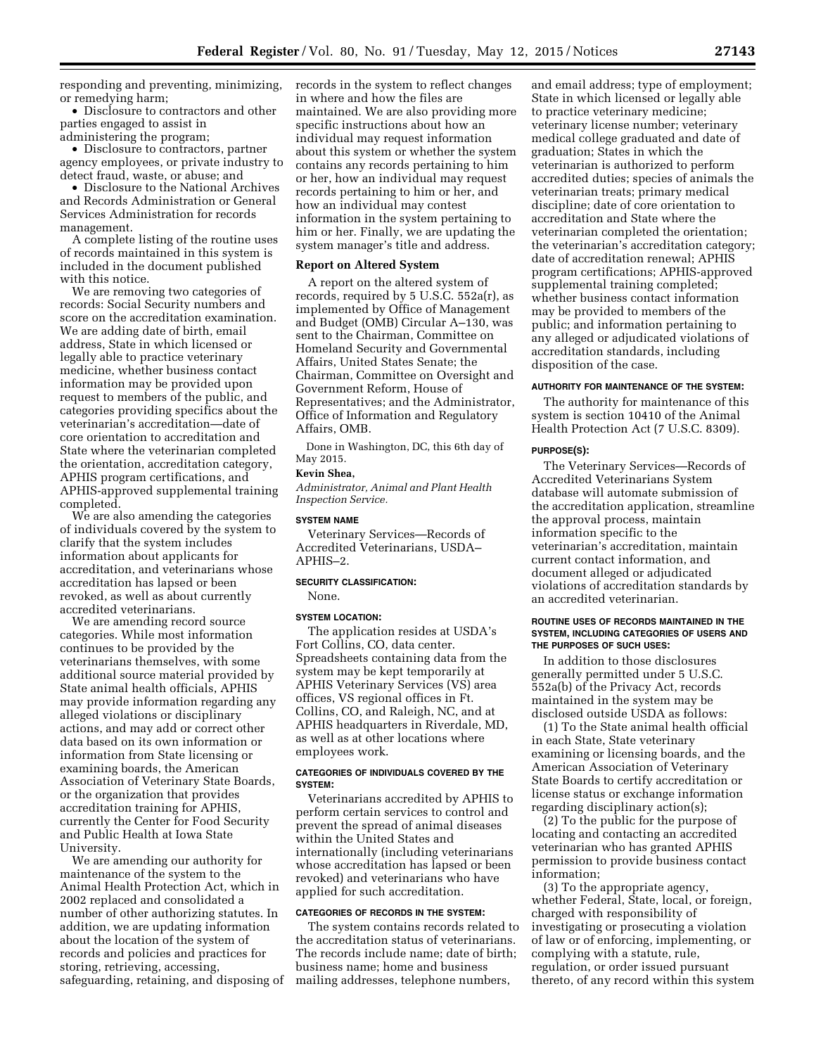responding and preventing, minimizing, or remedying harm;

• Disclosure to contractors and other parties engaged to assist in administering the program;

• Disclosure to contractors, partner agency employees, or private industry to detect fraud, waste, or abuse; and

• Disclosure to the National Archives and Records Administration or General Services Administration for records management.

A complete listing of the routine uses of records maintained in this system is included in the document published with this notice.

We are removing two categories of records: Social Security numbers and score on the accreditation examination. We are adding date of birth, email address, State in which licensed or legally able to practice veterinary medicine, whether business contact information may be provided upon request to members of the public, and categories providing specifics about the veterinarian's accreditation—date of core orientation to accreditation and State where the veterinarian completed the orientation, accreditation category, APHIS program certifications, and APHIS-approved supplemental training completed.

We are also amending the categories of individuals covered by the system to clarify that the system includes information about applicants for accreditation, and veterinarians whose accreditation has lapsed or been revoked, as well as about currently accredited veterinarians.

We are amending record source categories. While most information continues to be provided by the veterinarians themselves, with some additional source material provided by State animal health officials, APHIS may provide information regarding any alleged violations or disciplinary actions, and may add or correct other data based on its own information or information from State licensing or examining boards, the American Association of Veterinary State Boards, or the organization that provides accreditation training for APHIS, currently the Center for Food Security and Public Health at Iowa State University.

We are amending our authority for maintenance of the system to the Animal Health Protection Act, which in 2002 replaced and consolidated a number of other authorizing statutes. In addition, we are updating information about the location of the system of records and policies and practices for storing, retrieving, accessing, safeguarding, retaining, and disposing of records in the system to reflect changes in where and how the files are maintained. We are also providing more specific instructions about how an individual may request information about this system or whether the system contains any records pertaining to him or her, how an individual may request records pertaining to him or her, and how an individual may contest information in the system pertaining to him or her. Finally, we are updating the system manager's title and address.

#### **Report on Altered System**

A report on the altered system of records, required by 5 U.S.C. 552a(r), as implemented by Office of Management and Budget (OMB) Circular A–130, was sent to the Chairman, Committee on Homeland Security and Governmental Affairs, United States Senate; the Chairman, Committee on Oversight and Government Reform, House of Representatives; and the Administrator, Office of Information and Regulatory Affairs, OMB.

Done in Washington, DC, this 6th day of May 2015.

# **Kevin Shea,**

*Administrator, Animal and Plant Health Inspection Service.* 

## **SYSTEM NAME**

Veterinary Services—Records of Accredited Veterinarians, USDA– APHIS–2.

### **SECURITY CLASSIFICATION:**

None.

#### **SYSTEM LOCATION:**

The application resides at USDA's Fort Collins, CO, data center. Spreadsheets containing data from the system may be kept temporarily at APHIS Veterinary Services (VS) area offices, VS regional offices in Ft. Collins, CO, and Raleigh, NC, and at APHIS headquarters in Riverdale, MD, as well as at other locations where employees work.

#### **CATEGORIES OF INDIVIDUALS COVERED BY THE SYSTEM:**

Veterinarians accredited by APHIS to perform certain services to control and prevent the spread of animal diseases within the United States and internationally (including veterinarians whose accreditation has lapsed or been revoked) and veterinarians who have applied for such accreditation.

#### **CATEGORIES OF RECORDS IN THE SYSTEM:**

The system contains records related to the accreditation status of veterinarians. The records include name; date of birth; business name; home and business mailing addresses, telephone numbers,

and email address; type of employment; State in which licensed or legally able to practice veterinary medicine; veterinary license number; veterinary medical college graduated and date of graduation; States in which the veterinarian is authorized to perform accredited duties; species of animals the veterinarian treats; primary medical discipline; date of core orientation to accreditation and State where the veterinarian completed the orientation; the veterinarian's accreditation category; date of accreditation renewal; APHIS program certifications; APHIS-approved supplemental training completed; whether business contact information may be provided to members of the public; and information pertaining to any alleged or adjudicated violations of accreditation standards, including disposition of the case.

#### **AUTHORITY FOR MAINTENANCE OF THE SYSTEM:**

The authority for maintenance of this system is section 10410 of the Animal Health Protection Act (7 U.S.C. 8309).

#### **PURPOSE(S):**

The Veterinary Services—Records of Accredited Veterinarians System database will automate submission of the accreditation application, streamline the approval process, maintain information specific to the veterinarian's accreditation, maintain current contact information, and document alleged or adjudicated violations of accreditation standards by an accredited veterinarian.

## **ROUTINE USES OF RECORDS MAINTAINED IN THE SYSTEM, INCLUDING CATEGORIES OF USERS AND THE PURPOSES OF SUCH USES:**

In addition to those disclosures generally permitted under 5 U.S.C. 552a(b) of the Privacy Act, records maintained in the system may be disclosed outside USDA as follows:

(1) To the State animal health official in each State, State veterinary examining or licensing boards, and the American Association of Veterinary State Boards to certify accreditation or license status or exchange information regarding disciplinary action(s);

(2) To the public for the purpose of locating and contacting an accredited veterinarian who has granted APHIS permission to provide business contact information;

(3) To the appropriate agency, whether Federal, State, local, or foreign, charged with responsibility of investigating or prosecuting a violation of law or of enforcing, implementing, or complying with a statute, rule, regulation, or order issued pursuant thereto, of any record within this system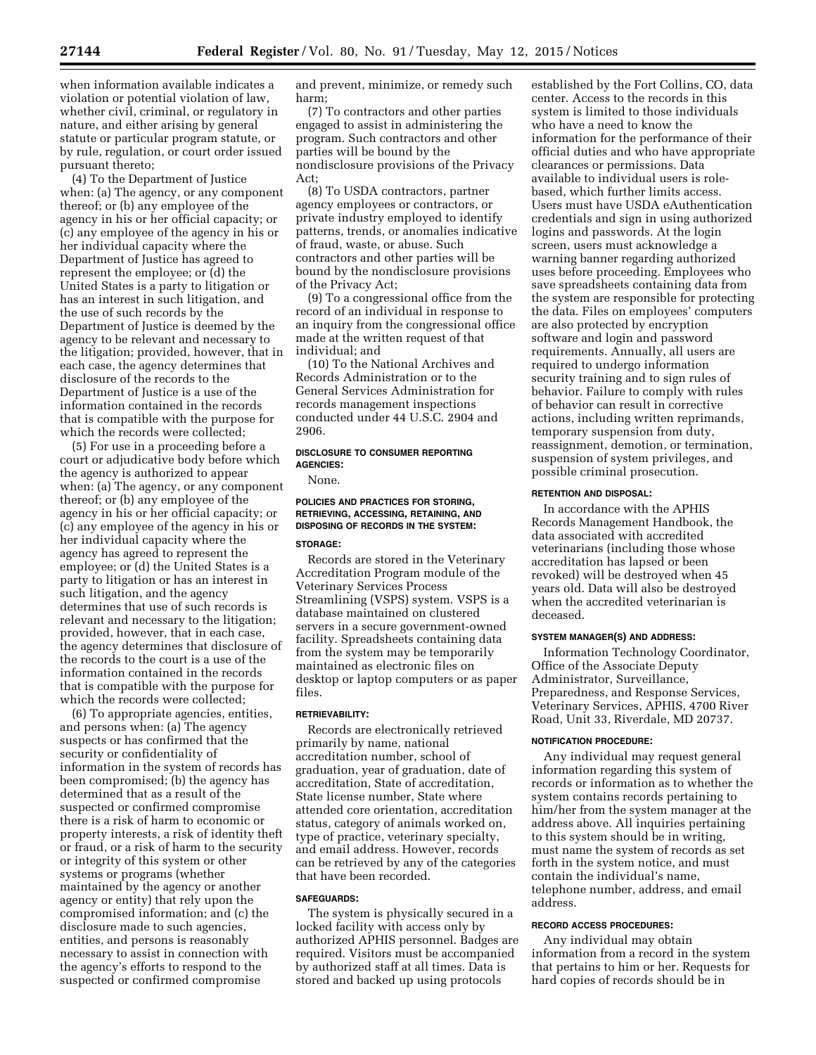when information available indicates a violation or potential violation of law, whether civil, criminal, or regulatory in nature, and either arising by general statute or particular program statute, or by rule, regulation, or court order issued pursuant thereto;

(4) To the Department of Justice when: (a) The agency, or any component thereof; or (b) any employee of the agency in his or her official capacity; or (c) any employee of the agency in his or her individual capacity where the Department of Justice has agreed to represent the employee; or (d) the United States is a party to litigation or has an interest in such litigation, and the use of such records by the Department of Justice is deemed by the agency to be relevant and necessary to the litigation; provided, however, that in each case, the agency determines that disclosure of the records to the Department of Justice is a use of the information contained in the records that is compatible with the purpose for which the records were collected;

(5) For use in a proceeding before a court or adjudicative body before which the agency is authorized to appear when: (a) The agency, or any component thereof; or (b) any employee of the agency in his or her official capacity; or (c) any employee of the agency in his or her individual capacity where the agency has agreed to represent the employee; or (d) the United States is a party to litigation or has an interest in such litigation, and the agency determines that use of such records is relevant and necessary to the litigation; provided, however, that in each case, the agency determines that disclosure of the records to the court is a use of the information contained in the records that is compatible with the purpose for which the records were collected;

(6) To appropriate agencies, entities, and persons when: (a) The agency suspects or has confirmed that the security or confidentiality of information in the system of records has been compromised; (b) the agency has determined that as a result of the suspected or confirmed compromise there is a risk of harm to economic or property interests, a risk of identity theft or fraud, or a risk of harm to the security or integrity of this system or other systems or programs (whether maintained by the agency or another agency or entity) that rely upon the compromised information; and (c) the disclosure made to such agencies, entities, and persons is reasonably necessary to assist in connection with the agency's efforts to respond to the suspected or confirmed compromise

and prevent, minimize, or remedy such harm;

(7) To contractors and other parties engaged to assist in administering the program. Such contractors and other parties will be bound by the nondisclosure provisions of the Privacy Act;

(8) To USDA contractors, partner agency employees or contractors, or private industry employed to identify patterns, trends, or anomalies indicative of fraud, waste, or abuse. Such contractors and other parties will be bound by the nondisclosure provisions of the Privacy Act;

(9) To a congressional office from the record of an individual in response to an inquiry from the congressional office made at the written request of that individual; and

(10) To the National Archives and Records Administration or to the General Services Administration for records management inspections conducted under 44 U.S.C. 2904 and 2906.

## **DISCLOSURE TO CONSUMER REPORTING AGENCIES:**

None.

# **POLICIES AND PRACTICES FOR STORING, RETRIEVING, ACCESSING, RETAINING, AND DISPOSING OF RECORDS IN THE SYSTEM:**

## **STORAGE:**

Records are stored in the Veterinary Accreditation Program module of the Veterinary Services Process Streamlining (VSPS) system. VSPS is a database maintained on clustered servers in a secure government-owned facility. Spreadsheets containing data from the system may be temporarily maintained as electronic files on desktop or laptop computers or as paper files.

## **RETRIEVABILITY:**

Records are electronically retrieved primarily by name, national accreditation number, school of graduation, year of graduation, date of accreditation, State of accreditation, State license number, State where attended core orientation, accreditation status, category of animals worked on, type of practice, veterinary specialty, and email address. However, records can be retrieved by any of the categories that have been recorded.

## **SAFEGUARDS:**

The system is physically secured in a locked facility with access only by authorized APHIS personnel. Badges are required. Visitors must be accompanied by authorized staff at all times. Data is stored and backed up using protocols

established by the Fort Collins, CO, data center. Access to the records in this system is limited to those individuals who have a need to know the information for the performance of their official duties and who have appropriate clearances or permissions. Data available to individual users is rolebased, which further limits access. Users must have USDA eAuthentication credentials and sign in using authorized logins and passwords. At the login screen, users must acknowledge a warning banner regarding authorized uses before proceeding. Employees who save spreadsheets containing data from the system are responsible for protecting the data. Files on employees' computers are also protected by encryption software and login and password requirements. Annually, all users are required to undergo information security training and to sign rules of behavior. Failure to comply with rules of behavior can result in corrective actions, including written reprimands, temporary suspension from duty, reassignment, demotion, or termination, suspension of system privileges, and possible criminal prosecution.

## **RETENTION AND DISPOSAL:**

In accordance with the APHIS Records Management Handbook, the data associated with accredited veterinarians (including those whose accreditation has lapsed or been revoked) will be destroyed when 45 years old. Data will also be destroyed when the accredited veterinarian is deceased.

## **SYSTEM MANAGER(S) AND ADDRESS:**

Information Technology Coordinator, Office of the Associate Deputy Administrator, Surveillance, Preparedness, and Response Services, Veterinary Services, APHIS, 4700 River Road, Unit 33, Riverdale, MD 20737.

#### **NOTIFICATION PROCEDURE:**

Any individual may request general information regarding this system of records or information as to whether the system contains records pertaining to him/her from the system manager at the address above. All inquiries pertaining to this system should be in writing, must name the system of records as set forth in the system notice, and must contain the individual's name, telephone number, address, and email address.

## **RECORD ACCESS PROCEDURES:**

Any individual may obtain information from a record in the system that pertains to him or her. Requests for hard copies of records should be in